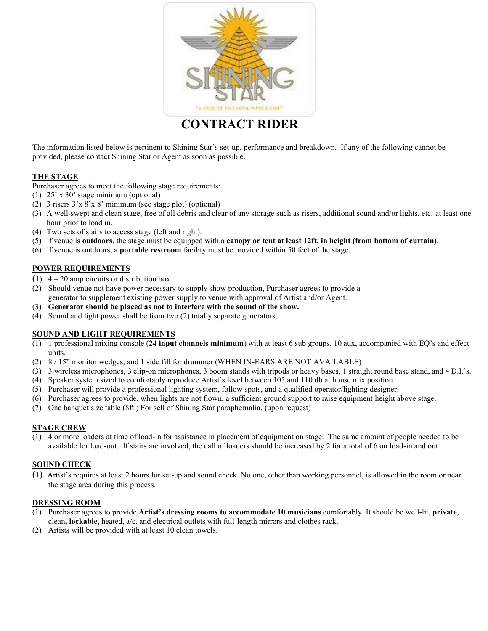

**CONTRACT RIDER**

The information listed below is pertinent to Shining Star's set-up, performance and breakdown. If any of the following cannot be provided, please contact Shining Star or Agent as soon as possible.

## **THE STAGE**

Purchaser agrees to meet the following stage requirements:

- (1) 25' x 30' stage minimum (optional)
- (2) 3 risers 3'x 8'x 8' minimum (see stage plot) (optional)
- (3) A well-swept and clean stage, free of all debris and clear of any storage such as risers, additional sound and/or lights, etc. at least one hour prior to load in.
- (4) Two sets of stairs to access stage (left and right).
- (5) If venue is **outdoors**, the stage must be equipped with a **canopy or tent at least 12ft. in height (from bottom of curtain)**.
- (6) If venue is outdoors, a **portable restroom** facility must be provided within 50 feet of the stage.

## **POWER REQUIREMENTS**

- $(1)$  4 20 amp circuits or distribution box
- (2) Should venue not have power necessary to supply show production, Purchaser agrees to provide a generator to supplement existing power supply to venue with approval of Artist and/or Agent.
- (3) **Generator should be placed as not to interfere with the sound of the show.**
- (4) Sound and light power shall be from two (2) totally separate generators.

## **SOUND AND LIGHT REQUIREMENTS**

- (1) 1 professional mixing console (**24 input channels minimum**) with at least 6 sub groups, 10 aux, accompanied with EQ's and effect units.
- (2) 8 / 15" monitor wedges, and 1 side fill for drummer (WHEN IN-EARS ARE NOT AVAILABLE)
- (3) 3 wireless microphones, 3 clip-on microphones, 3 boom stands with tripods or heavy bases, 1 straight round base stand, and 4 D.I.'s.
- (4) Speaker system sized to comfortably reproduce Artist's level between 105 and 110 db at house mix position.
- (5) Purchaser will provide a professional lighting system, follow spots, and a qualified operator/lighting designer.
- (6) Purchaser agrees to provide, when lights are not flown, a sufficient ground support to raise equipment height above stage.
- (7) One banquet size table (8ft.) For sell of Shining Star paraphernalia. (upon request)

## **STAGE CREW**

(1) 4 or more loaders at time of load-in for assistance in placement of equipment on stage. The same amount of people needed to be available for load-out. If stairs are involved, the call of loaders should be increased by 2 for a total of 6 on load-in and out.

## **SOUND CHECK**

(1) Artist's requires at least 2 hours for set-up and sound check. No one, other than working personnel, is allowed in the room or near the stage area during this process.

#### **DRESSING ROOM**

- (1) Purchaser agrees to provide **Artist's dressing rooms to accommodate 10 musicians** comfortably. It should be well-lit, **private**, clean**, lockable**, heated, a/c, and electrical outlets with full-length mirrors and clothes rack.
- (2) Artists will be provided with at least 10 clean towels.